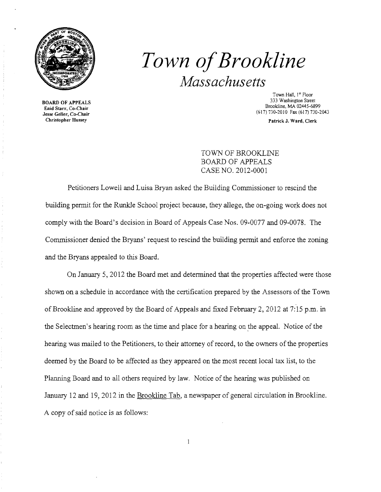

*Town ofBrookline Massachusetts* 

Town Hall, 1st Floor **333 Washington Street Bookline, MA 02445-689<br>Enid Starr, Co-Chair** Bookline, MA 02445-689 Brookline, MA 02445-6899 Jesse Geller, Co-Chair (617) 730-2010 Fax (617) 730-2043

Christopher Hussey Patrick J. Ward, Clerk

TOWN OF BROOKLINE BOARD OF APPEALS CASE NO. 2012-0001

Petitioners Lowell and Luisa Bryan asked the Building Commissioner to rescind the building permit for the Runkle School project because, they allege, the on-going work does not comply with the Board's decision in Board of Appeals Case Nos. 09-0077 and 09-0078. The Commissioner denied the Bryans' request to rescind the building permit and enforce the zoning and the Bryans appealed to this Board.

On January 5,2012 the Board met and determined that the properties affected were those shown on a schedule in accordance with the certification prepared by the Assessors of the Town of Brookline and approved by the Board of Appeals and fixed February 2,2012 at 7:15 p.m. in the Selectmen's hearing room as the time and place for a hearing on the appeal. Notice of the hearing was mailed to the Petitioners, to their attorney of record, to the owners of the properties deemed by the Board to be affected as they appeared on the most recent local tax list, to the Planning Board and to all others required by law. Notice of the hearing was published on January 12 and 19,2012 in the Brookline Tab, a newspaper of general circulation in Brookline. A copy of said notice is as follows: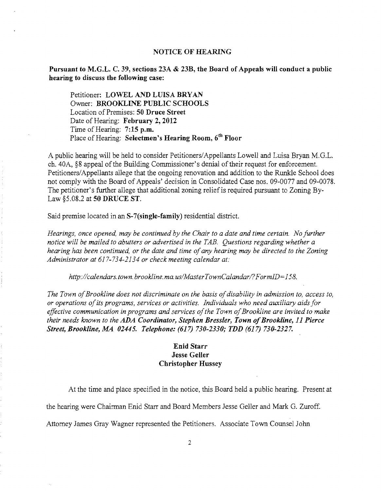## NOTICE OF HEARING

Pursuant to M.G.L. C. 39, sections 23A & 23B, the Board of Appeals will conduct a public hearing to discuss the following case:

Petitioner: LOWEL AND LUISA BRYAN Owner: BROOKLINE PUBLIC SCHOOLS Location of Premises: 50 Druce Street Date of Hearing: February 2, 2012 Time of Hearing: 7:15 p.m. Place of Hearing: Selectmen's Hearing Room, 6<sup>th</sup> Floor

A public hearing will be held to consider Petitioners/Appellants Lowell and Luisa Bryan M.G.L. ch. 40A, §8 appeal of the Building Commissioner's denial of their request for enforcement. Petitioners/Appellants allege that the ongoing renovation and addition to the Runkle School does not comply with the Board of Appeals' decision in Consolidated Case nos. 09-0077 and 09-0078. The petitioner's further allege that additional zoning relief is required pursuant to Zoning By-Law §5.08.2 at 50 DRUCE ST.

Said premise located in an S-7(single-family) residential district.

*Hearings, once opened, may be continued by the Chair to a date and time certain. No further notice will be mailed to abutters or advertised in the TAB. Questions regarding whether a*  hearing has been continued, or the date and time of any hearing may be directed to the Zoning *Administrator at* 617-734-2134 *or check meeting calendar at:* 

*http://calendars.town.brookline.ma.usIMasterTownCalandarl?FormID=158.* 

*The Town of Brookline does not discriminate on the basis of disability in admission to, access to, or operations ofits programs, services or activities. Individuals who need auxiliary aids for effective communication in programs and services ofthe Town ofBrookline are invited to make their needs known to the* ADA *Coordinator, Stephen Bressler, Town ofBrookline,* 11 *Pierce Street, Brookline, MA 02445. Telephone:* (617) *730-2330; TDD* (617) *730-2327.* 

## Enid Starr Jesse Geller Christopher Hussey

At the time and place specified in the notice, this Board held a public hearing. Present at

the hearing were Chairman Enid Starr and Board Members Jesse Geller and Mark G. Zuroff.

Attorney James Gray Wagner represented the Petitioners. Associate Town Counsel John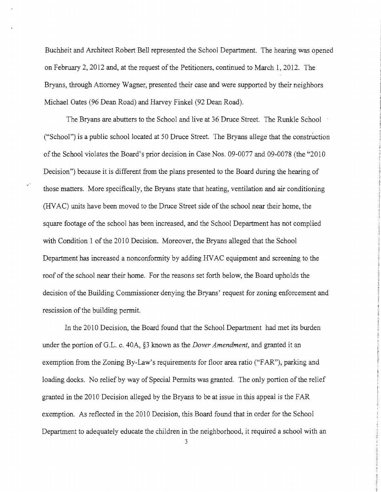Buchheit and Architect Robert Bell represented the School Department. The hearing was opened on February 2, 2012 and, at the request of the Petitioners, continued to March 1,2012. The Bryans, through Attorney Wagner, presented their case and were supported by their neighbors Michael Oates (96 Dean Road) and Harvey Finkel (92 Dean Road).

The Bryans are abutters to the School and live at 36 Druce Street. The Runkle School ("School") is a public school located at 50 Druce Street. The Bryans allege that the construction of the School violates the Board's prior decision in Case Nos. 09-0077 and 09-0078 (the "2010 Decision") because it is different from the plans presented to the Board during the hearing of those matters. More specifically, the Bryans state that heating, ventilation and air conditioning (HVAC) units have been moved to the Druce Street side of the school near their home, the square footage of the school has been increased, and the School Department has not complied with Condition 1 of the 2010 Decision. Moreover, the Bryans alleged that the School Department has increased a nonconformity by adding HVAC equipment and screening to the roof of the school near their home. For the reasons set forth below, the Board upholds the decision of the Building Commissioner denying the Bryans' request for zoning enforcement and rescission of the building pennit.

In the 2010 Decision, the Board found that the School Department had met its burden under the portion of G.L. c. *40A,* §3 known as the *Dover Amendment,* and granted it an exemption from the Zoning By-Law's requirements for floor area ratio ("FAR"), parking and loading docks. No relief by way of Special Permits was granted. The only portion of the relief granted in the 2010 Decision alleged by the Bryans to be at issue in this appeal is the FAR exemption. As reflected in the 2010 Decision, this Board found that in order for the School Department to adequately educate the children in the neighborhood, it required a school with an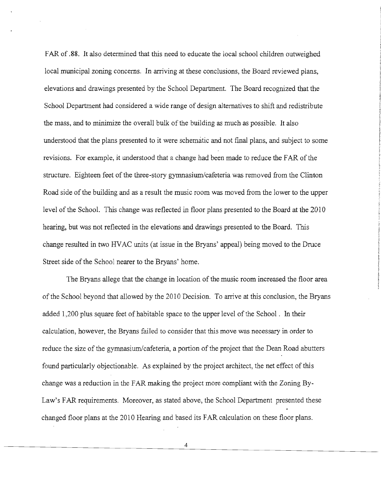FAR of .88. It also determined that this need to educate the local school children outweighed local municipal zoning concerns. In arriving at these conclusions, the Board reviewed plans, elevations and drawings presented by the School Department. The Board recognized that the School Department had considered a wide range of design alternatives to shift and redistribute the mass, and to minimize the overall bulk of the building as much as possible. It also understood that the plans presented to it were schematic and not fmal plans, and subject to some revisions. For example, it understood that a change had been made to reduce the FAR of the structure. Eighteen feet of the three-story gymnasium/cafeteria was removed from the Clinton Road side of the building and as a result the music room was moved from the lower to the upper level of the School. This change was reflected in floor plans presented to the Board at the 2010 hearing, but was not reflected in the elevations and drawings presented to the Board. This change resulted in two HVAC units (at issue in the Bryans' appeal) being moved to the Druce Street side of the School nearer to the Bryans' home.

The Bryans allege that the change in location of the music room increased the floor area of the School beyond that allowed by the 2010 Decision. To arrive at this conclusion, the Bryans added 1,200 plus square feet of habitable space to the upper level of the School. In their calculation, however, the Bryans failed to consider that this move was necessary in order to reduce the size of the gymnasium/cafeteria, a portion of the project that the Dean Road abutters found particularly objectionable. As explained by the project architect, the net effect of this change was a reduction in the FAR making the project more compliant with the Zoning By-Law's FAR requirements. Moreover, as stated above, the School Department presented these changed floor plans at the 2010 Hearing and based its FAR calculation on these floor plans.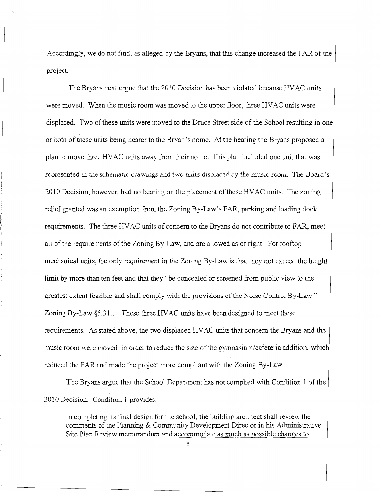Accordingly, we do not find, as alleged by the Bryans, that this change increased the FAR of the project.

The Bryans next argue that the 2010 Decision has been violated because HVAC units were moved. When the music room was moved to the upper floor, three HVAC units were displaced. Two of these units were moved to the Druce Street side of the School resulting in one or both of these units being nearer to the Bryan's home. At the hearing the Bryans proposed a plan to move three HVAC units away from their home. This plan included one unit that was represented in the schematic drawings and two units displaced by the music room. The Board's 2010 Decision, however, had no bearing on the placement of these HVAC units. The zoning relief granted was an exemption from the Zoning By-Law's FAR, parking and loading dock requirements. The three HVAC units of concern to the Bryans do not contribute to FAR, meet all of the requirements of the Zoning By-Law, and are allowed as of right. For rooftop mechanical units, the only requirement in the Zoning By-Law is that they not exceed the height limit by more than ten feet and that they "be concealed or screened from public view to the greatest extent feasible and shall comply with the provisions of the Noise Control By-Law." Zoning By-Law §5.31.1. These three HVAC units have been designed to meet these requirements. As stated above, the two displaced HVAC units that concern the Bryans and the music room were moved in order to reduce the size of the gymnasium/cafeteria addition, which reduced the FAR and made the project more compliant with the Zoning By-Law.

The Bryans argue that the School Department has not complied with Condition 1 of the 2010 Decision. Condition 1 provides:

In completing its final design for the school, the building architect shall review the comments of the Planning & Community Development Director in his Administrative Site Plan Review memorandum and accommodate as much as possible changes to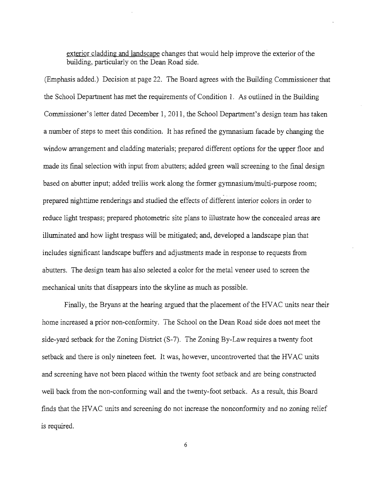exterior cladding and landscape changes that would help improve the exterior of the building, particularly on the Dean Road side.

(Emphasis added.) Decision at page 22. The Board agrees with the Building Commissioner that the School Department has met the requirements of Condition 1. As outlined in the Building Commissioner's letter dated December 1, 2011, the School Department's design team has taken a number of steps to meet this condition. It has refined the gymnasium facade by changing the window arrangement and cladding materials; prepared different options for the upper floor and made its final selection with input from abutters; added green wall screening to the final design based on abutter input; added trellis work along the former gymnasium/multi-purpose room; .. prepared nighttime renderings and studied the effects of different interior colors in order to reduce light trespass; prepared photometric site plans to illustrate how the concealed areas are illuminated and how light trespass will be mitigated; and, developed a landscape plan that includes significant landscape buffers and adjustments made in response to requests from abutters. The design team has also selected a color for the metal veneer used to screen the mechanical units that disappears into the skyline as much as possible.

Finally, the Bryans at the hearing argued that the placement of the HVAC units near their home increased a prior non-conformity. The School on the Dean Road side does not meet the side-yard setback for the Zoning District (S-7). The Zoning By-Law requires a twenty foot setback and there is only nineteen feet. It was, however, uncontroverted that the HVAC units and screening have not been placed within the twenty foot setback and are being constructed well back from the non-conforming wall and the twenty-foot setback. As a result, this Board finds that the HVAC units and screening do not increase the nonconformity and no zoning relief is required.